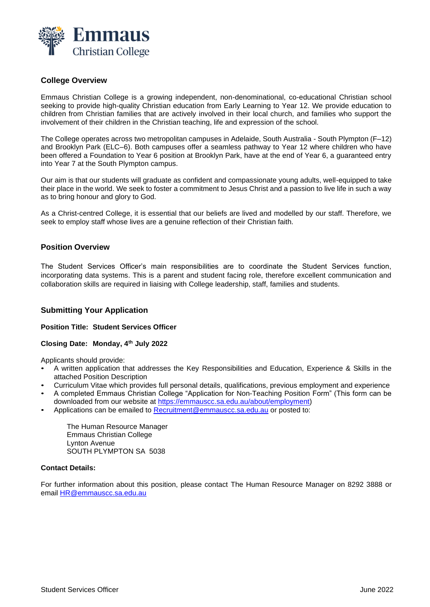

# **College Overview**

Emmaus Christian College is a growing independent, non-denominational, co-educational Christian school seeking to provide high-quality Christian education from Early Learning to Year 12. We provide education to children from Christian families that are actively involved in their local church, and families who support the involvement of their children in the Christian teaching, life and expression of the school.

The College operates across two metropolitan campuses in Adelaide, South Australia - South Plympton (F–12) and Brooklyn Park (ELC–6). Both campuses offer a seamless pathway to Year 12 where children who have been offered a Foundation to Year 6 position at Brooklyn Park, have at the end of Year 6, a guaranteed entry into Year 7 at the South Plympton campus.

Our aim is that our students will graduate as confident and compassionate young adults, well-equipped to take their place in the world. We seek to foster a commitment to Jesus Christ and a passion to live life in such a way as to bring honour and glory to God.

As a Christ-centred College, it is essential that our beliefs are lived and modelled by our staff. Therefore, we seek to employ staff whose lives are a genuine reflection of their Christian faith.

# **Position Overview**

The Student Services Officer's main responsibilities are to coordinate the Student Services function, incorporating data systems. This is a parent and student facing role, therefore excellent communication and collaboration skills are required in liaising with College leadership, staff, families and students.

## **Submitting Your Application**

### **Position Title: Student Services Officer**

## **Closing Date: Monday, 4th July 2022**

Applicants should provide:

- A written application that addresses the Key Responsibilities and Education, Experience & Skills in the attached Position Description
- Curriculum Vitae which provides full personal details, qualifications, previous employment and experience
- A completed Emmaus Christian College "Application for Non-Teaching Position Form" (This form can be downloaded from our website at [https://emmauscc.sa.edu.au/about/employment\)](https://emmauscc.sa.edu.au/about/employment)
- Applications can be emailed to [Recruitment@emmauscc.sa.edu.au](mailto:Recruitment@emmauscc.sa.edu.au) or posted to:

The Human Resource Manager Emmaus Christian College Lynton Avenue SOUTH PLYMPTON SA 5038

### **Contact Details:**

For further information about this position, please contact The Human Resource Manager on 8292 3888 or email [HR@emmauscc.sa.edu.au](mailto:HR@emmauscc.sa.edu.au)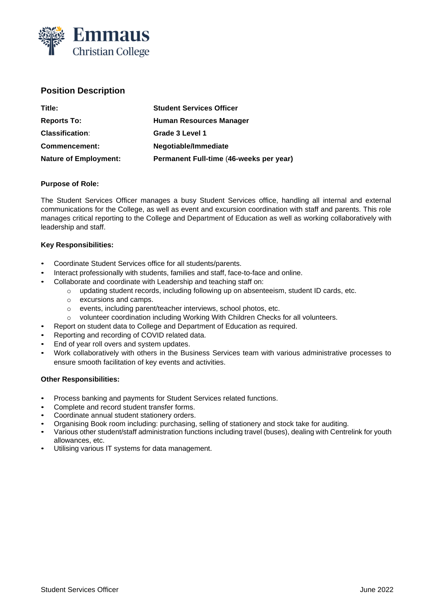

# **Position Description**

| Title:                       | <b>Student Services Officer</b>         |
|------------------------------|-----------------------------------------|
| <b>Reports To:</b>           | Human Resources Manager                 |
| <b>Classification:</b>       | Grade 3 Level 1                         |
| Commencement:                | Negotiable/Immediate                    |
| <b>Nature of Employment:</b> | Permanent Full-time (46-weeks per year) |

## **Purpose of Role:**

The Student Services Officer manages a busy Student Services office, handling all internal and external communications for the College, as well as event and excursion coordination with staff and parents. This role manages critical reporting to the College and Department of Education as well as working collaboratively with leadership and staff.

## **Key Responsibilities:**

- Coordinate Student Services office for all students/parents.
- Interact professionally with students, families and staff, face-to-face and online.
- Collaborate and coordinate with Leadership and teaching staff on:
	- o updating student records, including following up on absenteeism, student ID cards, etc.
	- o excursions and camps.
	- o events, including parent/teacher interviews, school photos, etc.
	- o volunteer coordination including Working With Children Checks for all volunteers.
	- Report on student data to College and Department of Education as required.
- Reporting and recording of COVID related data.
- End of year roll overs and system updates.
- Work collaboratively with others in the Business Services team with various administrative processes to ensure smooth facilitation of key events and activities.

### **Other Responsibilities:**

- Process banking and payments for Student Services related functions.
- Complete and record student transfer forms.
- Coordinate annual student stationery orders.
- Organising Book room including: purchasing, selling of stationery and stock take for auditing.
- Various other student/staff administration functions including travel (buses), dealing with Centrelink for youth allowances, etc.
- Utilising various IT systems for data management.